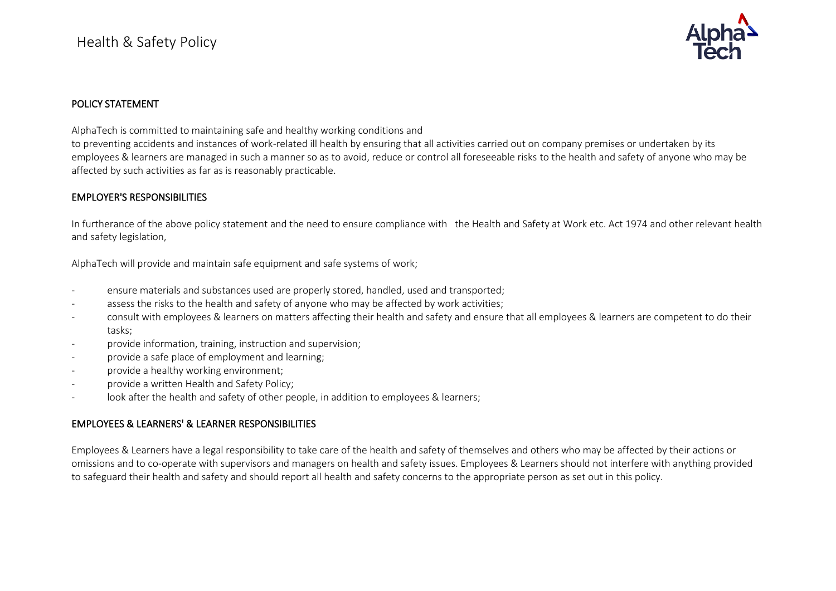

## POLICY STATEMENT

AlphaTech is committed to maintaining safe and healthy working conditions and

to preventing accidents and instances of work-related ill health by ensuring that all activities carried out on company premises or undertaken by its employees & learners are managed in such a manner so as to avoid, reduce or control all foreseeable risks to the health and safety of anyone who may be affected by such activities as far as is reasonably practicable.

## EMPLOYER'S RESPONSIBILITIES

In furtherance of the above policy statement and the need to ensure compliance with the Health and Safety at Work etc. Act 1974 and other relevant health and safety legislation,

AlphaTech will provide and maintain safe equipment and safe systems of work;

- ensure materials and substances used are properly stored, handled, used and transported;
- assess the risks to the health and safety of anyone who may be affected by work activities;
- consult with employees & learners on matters affecting their health and safety and ensure that all employees & learners are competent to do their tasks;
- provide information, training, instruction and supervision;
- provide a safe place of employment and learning;
- provide a healthy working environment;
- provide a written Health and Safety Policy;
- look after the health and safety of other people, in addition to employees & learners;

## EMPLOYEES & LEARNERS' & LEARNER RESPONSIBILITIES

Employees & Learners have a legal responsibility to take care of the health and safety of themselves and others who may be affected by their actions or omissions and to co-operate with supervisors and managers on health and safety issues. Employees & Learners should not interfere with anything provided to safeguard their health and safety and should report all health and safety concerns to the appropriate person as set out in this policy.